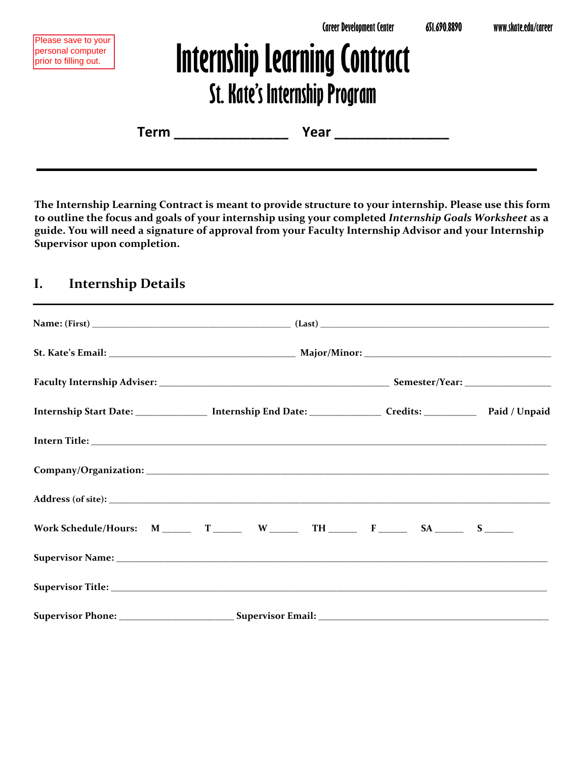# **Internship Learning Contract St. Kate's Internship Program**

| Term | Year |
|------|------|
|------|------|

**The Internship Learning Contract is meant to provide structure to your internship. Please use this form to outline the focus and goals of your internship using your completed** *Internship Goals Worksheet* **as a guide. You will need a signature of approval from your Faculty Internship Advisor and your Internship Supervisor upon completion.**

## **I. Internship Details**

| Internship Start Date: ________________ Internship End Date: ___________________ Credits: ________________ Paid / Unpaid |  |  |
|--------------------------------------------------------------------------------------------------------------------------|--|--|
|                                                                                                                          |  |  |
|                                                                                                                          |  |  |
|                                                                                                                          |  |  |
|                                                                                                                          |  |  |
|                                                                                                                          |  |  |
|                                                                                                                          |  |  |
|                                                                                                                          |  |  |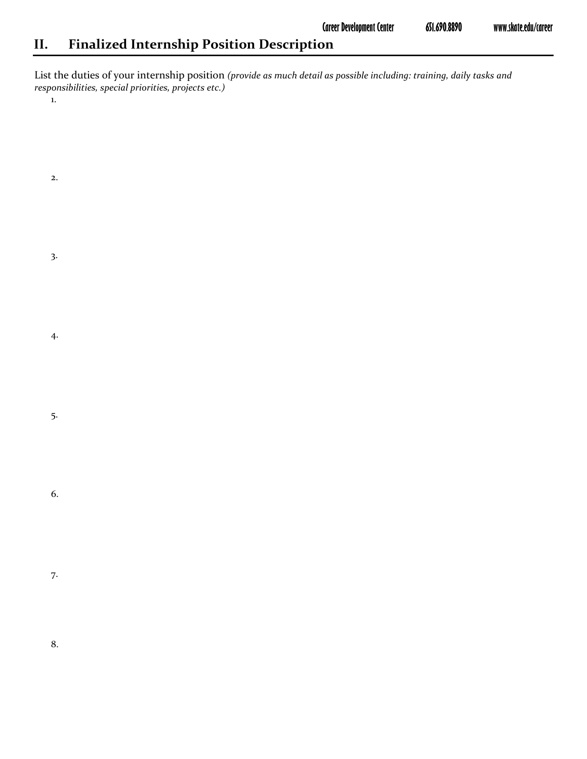# **II. Finalized Internship Position Description**

List the duties of your internship position *(provide as much detail as possible including: training, daily tasks and responsibilities, special priorities, projects etc.)* 

1.

| 2.               |  |  |  |
|------------------|--|--|--|
| $\overline{3}$ . |  |  |  |
| 4.               |  |  |  |
| 5.               |  |  |  |
| 6.               |  |  |  |
| 7.               |  |  |  |
| 8.               |  |  |  |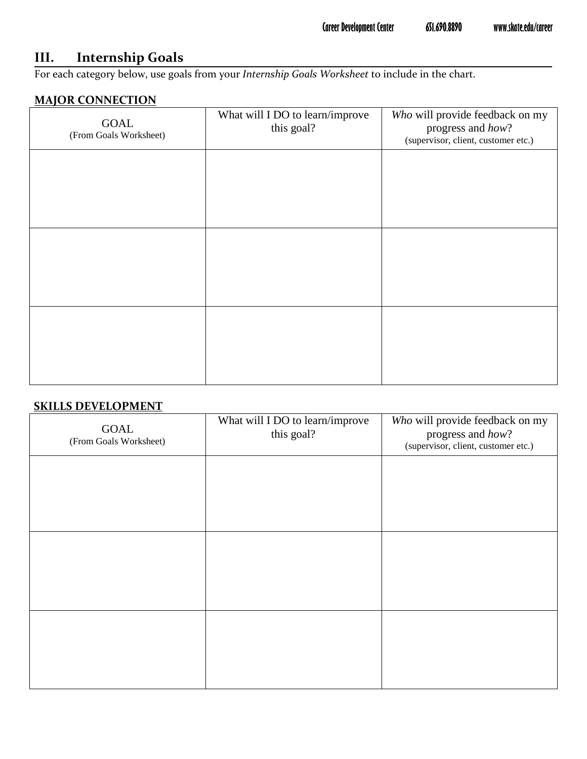## **III. Internship Goals**

For each category below, use goals from your *Internship Goals Worksheet* to include in the chart.

#### **MAJOR CONNECTION**

| GOAL<br>(From Goals Worksheet) | What will I DO to learn/improve<br>this goal? | Who will provide feedback on my<br>progress and how?<br>(supervisor, client, customer etc.) |
|--------------------------------|-----------------------------------------------|---------------------------------------------------------------------------------------------|
|                                |                                               |                                                                                             |
|                                |                                               |                                                                                             |
|                                |                                               |                                                                                             |
|                                |                                               |                                                                                             |
|                                |                                               |                                                                                             |
|                                |                                               |                                                                                             |

#### **SKILLS DEVELOPMENT**

| GOAL<br>(From Goals Worksheet) | What will I DO to learn/improve<br>this goal? | Who will provide feedback on my<br>progress and how?<br>(supervisor, client, customer etc.) |
|--------------------------------|-----------------------------------------------|---------------------------------------------------------------------------------------------|
|                                |                                               |                                                                                             |
|                                |                                               |                                                                                             |
|                                |                                               |                                                                                             |
|                                |                                               |                                                                                             |
|                                |                                               |                                                                                             |
|                                |                                               |                                                                                             |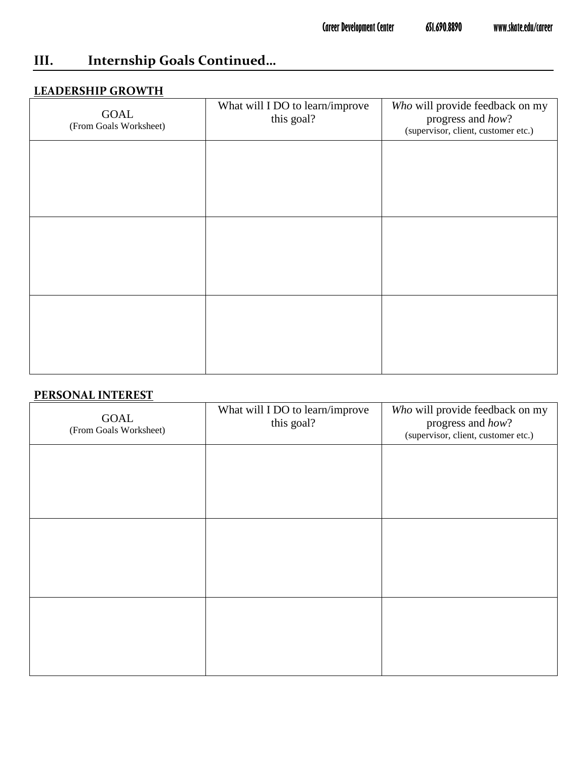# **III. Internship Goals Continued…**

#### **LEADERSHIP GROWTH**

| <b>GOAL</b><br>(From Goals Worksheet) | What will I DO to learn/improve<br>this goal? | Who will provide feedback on my<br>progress and how?<br>(supervisor, client, customer etc.) |
|---------------------------------------|-----------------------------------------------|---------------------------------------------------------------------------------------------|
|                                       |                                               |                                                                                             |
|                                       |                                               |                                                                                             |
|                                       |                                               |                                                                                             |
|                                       |                                               |                                                                                             |
|                                       |                                               |                                                                                             |
|                                       |                                               |                                                                                             |

#### **PERSONAL INTEREST**

| <b>GOAL</b><br>(From Goals Worksheet) | What will I DO to learn/improve<br>this goal? | Who will provide feedback on my<br>progress and how?<br>(supervisor, client, customer etc.) |
|---------------------------------------|-----------------------------------------------|---------------------------------------------------------------------------------------------|
|                                       |                                               |                                                                                             |
|                                       |                                               |                                                                                             |
|                                       |                                               |                                                                                             |
|                                       |                                               |                                                                                             |
|                                       |                                               |                                                                                             |
|                                       |                                               |                                                                                             |